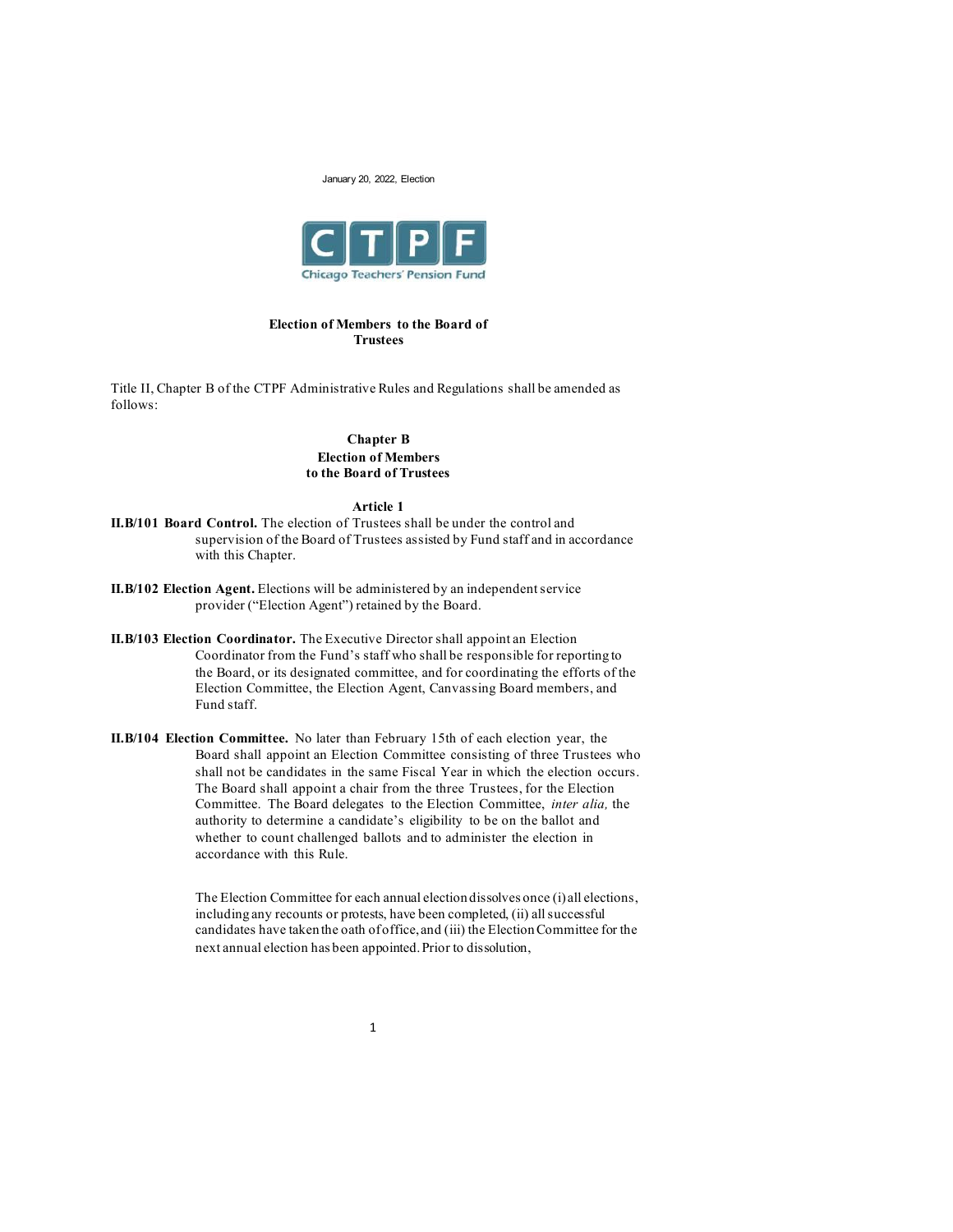

### **Election of Members to the Board of Trustees**

Title II, Chapter B of the CTPF Administrative Rules and Regulations shall be amended as follows:

## **Chapter B Election of Members to the Board of Trustees**

### **Article 1**

- **II.B/101 Board Control.** The election of Trustees shall be under the control and supervision of the Board of Trustees assisted by Fund staff and in accordance with this Chapter.
- **II.B/102 Election Agent.** Elections will be administered by an independent service provider ("Election Agent") retained by the Board.
- **II.B/103 Election Coordinator.** The Executive Director shall appoint an Election Coordinator from the Fund's staff who shall be responsible for reporting to the Board, or its designated committee, and for coordinating the efforts of the Election Committee, the Election Agent, Canvassing Board members, and Fund staff.
- **II.B/104 Election Committee.** No later than February 15th of each election year, the Board shall appoint an Election Committee consisting of three Trustees who shall not be candidates in the same Fiscal Year in which the election occurs. The Board shall appoint a chair from the three Trustees, for the Election Committee. The Board delegates to the Election Committee, *inter alia,* the authority to determine a candidate's eligibility to be on the ballot and whether to count challenged ballots and to administer the election in accordance with this Rule.

The Election Committee for each annual election dissolves once (i) all elections, including any recounts or protests, have been completed, (ii) all successful candidates have taken the oath of office, and (iii) the Election Committee for the next annual election has been appointed. Prior to dissolution,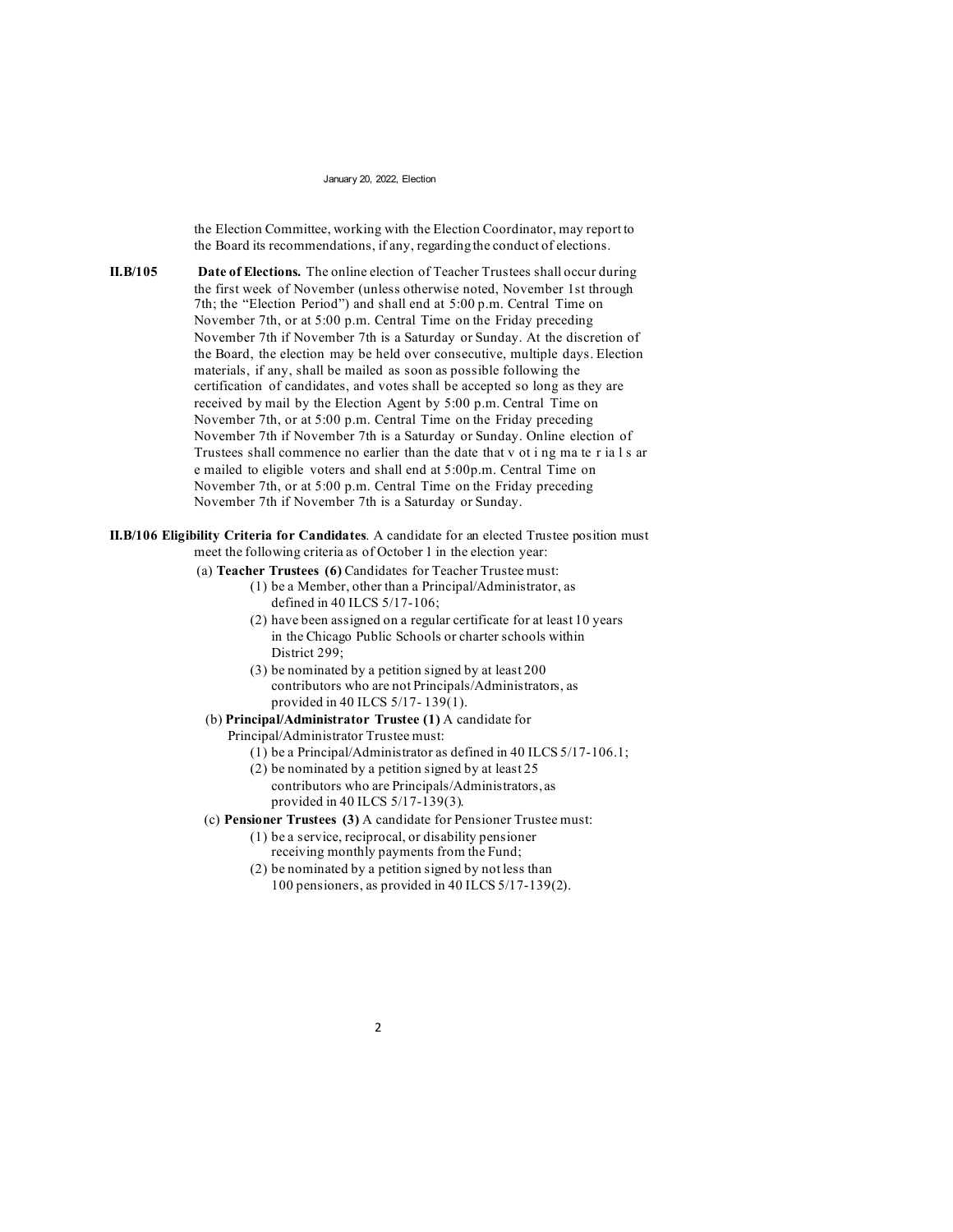the Election Committee, working with the Election Coordinator, may report to the Board its recommendations, if any, regarding the conduct of elections.

**II.B/105 Date of Elections.** The online election of Teacher Trustees shall occur during the first week of November (unless otherwise noted, November 1st through 7th; the "Election Period") and shall end at 5:00 p.m. Central Time on November 7th, or at 5:00 p.m. Central Time on the Friday preceding November 7th if November 7th is a Saturday or Sunday. At the discretion of the Board, the election may be held over consecutive, multiple days. Election materials, if any, shall be mailed as soon as possible following the certification of candidates, and votes shall be accepted so long as they are received by mail by the Election Agent by 5:00 p.m. Central Time on November 7th, or at 5:00 p.m. Central Time on the Friday preceding November 7th if November 7th is a Saturday or Sunday. Online election of Trustees shall commence no earlier than the date that v ot i ng ma te r ia l s ar e mailed to eligible voters and shall end at 5:00p.m. Central Time on November 7th, or at 5:00 p.m. Central Time on the Friday preceding November 7th if November 7th is a Saturday or Sunday.

**II.B/106 Eligibility Criteria for Candidates**. A candidate for an elected Trustee position must meet the following criteria as of October 1 in the election year:

(a) **Teacher Trustees (6)** Candidates for Teacher Trustee must:

- (1) be a Member, other than a Principal/Administrator, as defined in 40 ILCS 5/17-106;
- (2) have been assigned on a regular certificate for at least 10 years in the Chicago Public Schools or charter schools within District 299;
- (3) be nominated by a petition signed by at least 200 contributors who are not Principals/Administrators, as provided in 40 ILCS 5/17- 139(1).
- (b) **Principal/Administrator Trustee (1)** A candidate for
	- Principal/Administrator Trustee must:
		- (1) be a Principal/Administrator as defined in 40 ILCS 5/17-106.1;
		- (2) be nominated by a petition signed by at least 25 contributors who are Principals/Administrators, as provided in 40 ILCS 5/17-139(3).

(c) **Pensioner Trustees (3)** A candidate for Pensioner Trustee must:

- (1) be a service, reciprocal, or disability pensioner receiving monthly payments from the Fund;
- (2) be nominated by a petition signed by not less than 100 pensioners, as provided in 40 ILCS 5/17-139(2).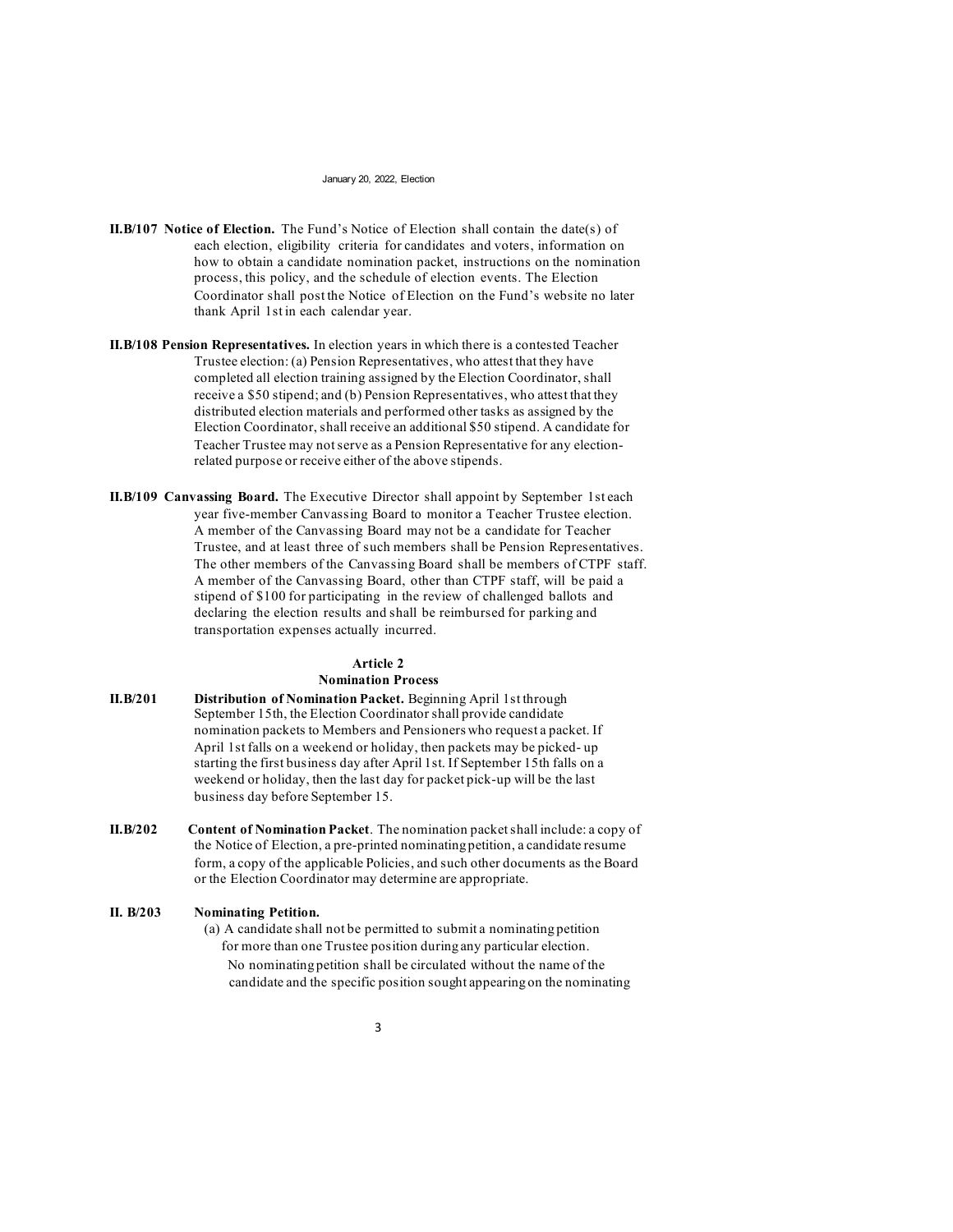- **II.B/107 Notice of Election.** The Fund's Notice of Election shall contain the date(s) of each election, eligibility criteria for candidates and voters, information on how to obtain a candidate nomination packet, instructions on the nomination process, this policy, and the schedule of election events. The Election Coordinator shall post the Notice of Election on the Fund's website no later thank April 1st in each calendar year.
- **II.B/108 Pension Representatives.** In election years in which there is a contested Teacher Trustee election: (a) Pension Representatives, who attest that they have completed all election training assigned by the Election Coordinator, shall receive a \$50 stipend; and (b) Pension Representatives, who attest that they distributed election materials and performed other tasks as assigned by the Election Coordinator, shall receive an additional \$50 stipend. A candidate for Teacher Trustee may not serve as a Pension Representative for any electionrelated purpose or receive either of the above stipends.
- **II.B/109 Canvassing Board.** The Executive Director shall appoint by September 1st each year five-member Canvassing Board to monitor a Teacher Trustee election. A member of the Canvassing Board may not be a candidate for Teacher Trustee, and at least three of such members shall be Pension Representatives. The other members of the Canvassing Board shall be members of CTPF staff. A member of the Canvassing Board, other than CTPF staff, will be paid a stipend of \$100 for participating in the review of challenged ballots and declaring the election results and shall be reimbursed for parking and transportation expenses actually incurred.

# **Article 2 Nomination Process**

- **II.B/201 Distribution of Nomination Packet.** Beginning April 1st through September 15th, the Election Coordinator shall provide candidate nomination packets to Members and Pensioners who request a packet. If April 1st falls on a weekend or holiday, then packets may be picked- up starting the first business day after April 1st. If September 15th falls on a weekend or holiday, then the last day for packet pick-up will be the last business day before September 15.
- **II.B/202 Content of Nomination Packet**. The nomination packet shall include: a copy of the Notice of Election, a pre-printed nominating petition, a candidate resume form, a copy of the applicable Policies, and such other documents as the Board or the Election Coordinator may determine are appropriate.

### **II. B/203 Nominating Petition.**

(a) A candidate shall not be permitted to submit a nominating petition for more than one Trustee position during any particular election. No nominating petition shall be circulated without the name of the candidate and the specific position sought appearing on the nominating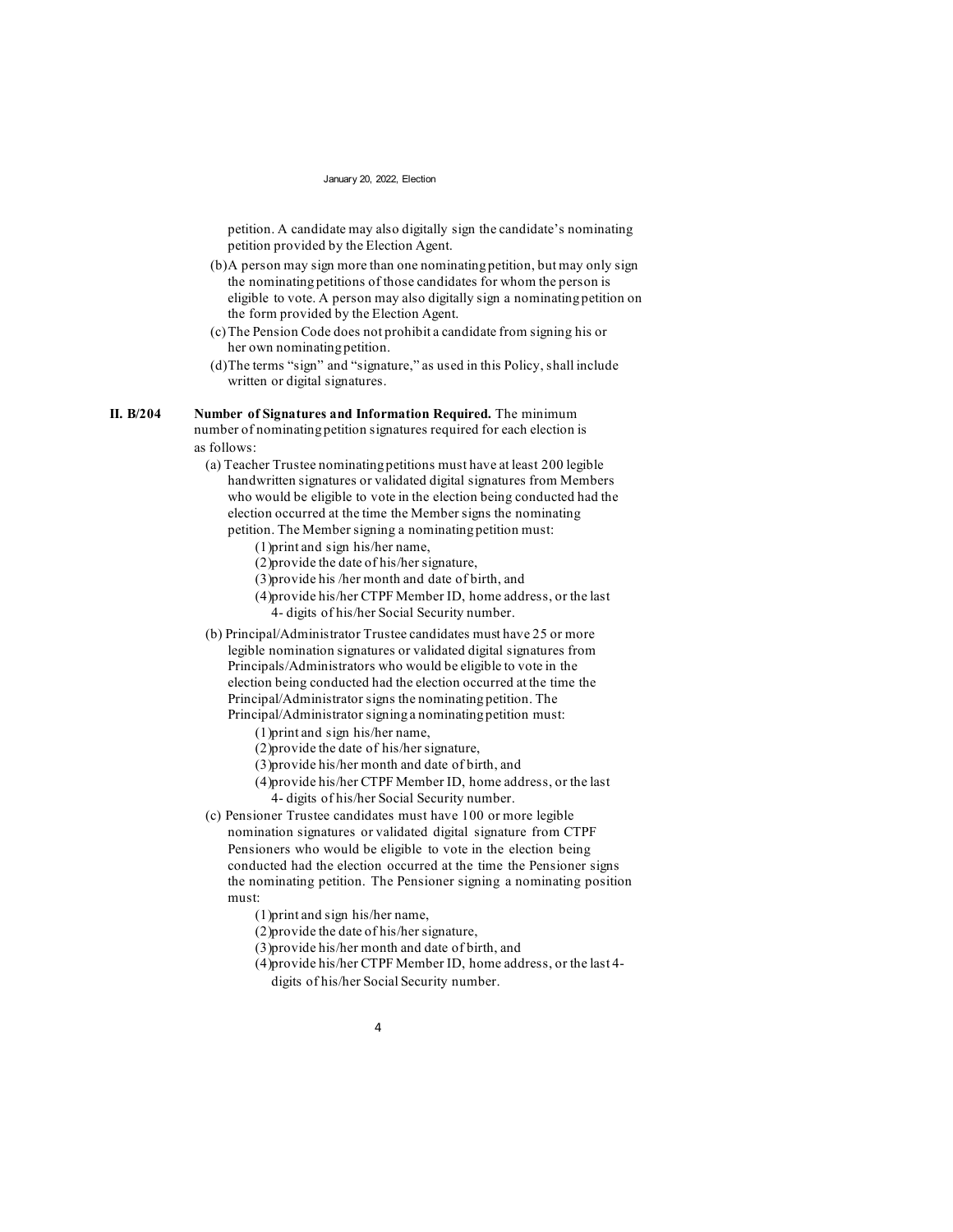petition. A candidate may also digitally sign the candidate's nominating petition provided by the Election Agent.

- (b)A person may sign more than one nominating petition, but may only sign the nominating petitions of those candidates for whom the person is eligible to vote. A person may also digitally sign a nominating petition on the form provided by the Election Agent.
- (c)The Pension Code does not prohibit a candidate from signing his or her own nominating petition.
- (d)The terms "sign" and "signature," as used in this Policy, shall include written or digital signatures.

### **II. B/204 Number of Signatures and Information Required.** The minimum

number of nominating petition signatures required for each election is as follows:

- (a) Teacher Trustee nominating petitions must have at least 200 legible handwritten signatures or validated digital signatures from Members who would be eligible to vote in the election being conducted had the election occurred at the time the Member signs the nominating petition. The Member signing a nominating petition must:
	- (1)print and sign his/her name,
	- (2)provide the date of his/her signature,
	- (3)provide his /her month and date of birth, and
	- (4)provide his/her CTPF Member ID, home address, or the last 4- digits of his/her Social Security number.
- (b) Principal/Administrator Trustee candidates must have 25 or more legible nomination signatures or validated digital signatures from Principals/Administrators who would be eligible to vote in the election being conducted had the election occurred at the time the Principal/Administrator signs the nominating petition. The Principal/Administrator signing a nominating petition must:
	- (1)print and sign his/her name,
	- (2)provide the date of his/her signature,
	- (3)provide his/her month and date of birth, and
	- (4)provide his/her CTPF Member ID, home address, or the last 4- digits of his/her Social Security number.
- (c) Pensioner Trustee candidates must have 100 or more legible nomination signatures or validated digital signature from CTPF Pensioners who would be eligible to vote in the election being conducted had the election occurred at the time the Pensioner signs the nominating petition. The Pensioner signing a nominating position must:
	- (1)print and sign his/her name,
	- (2)provide the date of his/her signature,
	- (3)provide his/her month and date of birth, and
	- (4)provide his/her CTPF Member ID, home address, or the last 4 digits of his/her Social Security number.
		- 4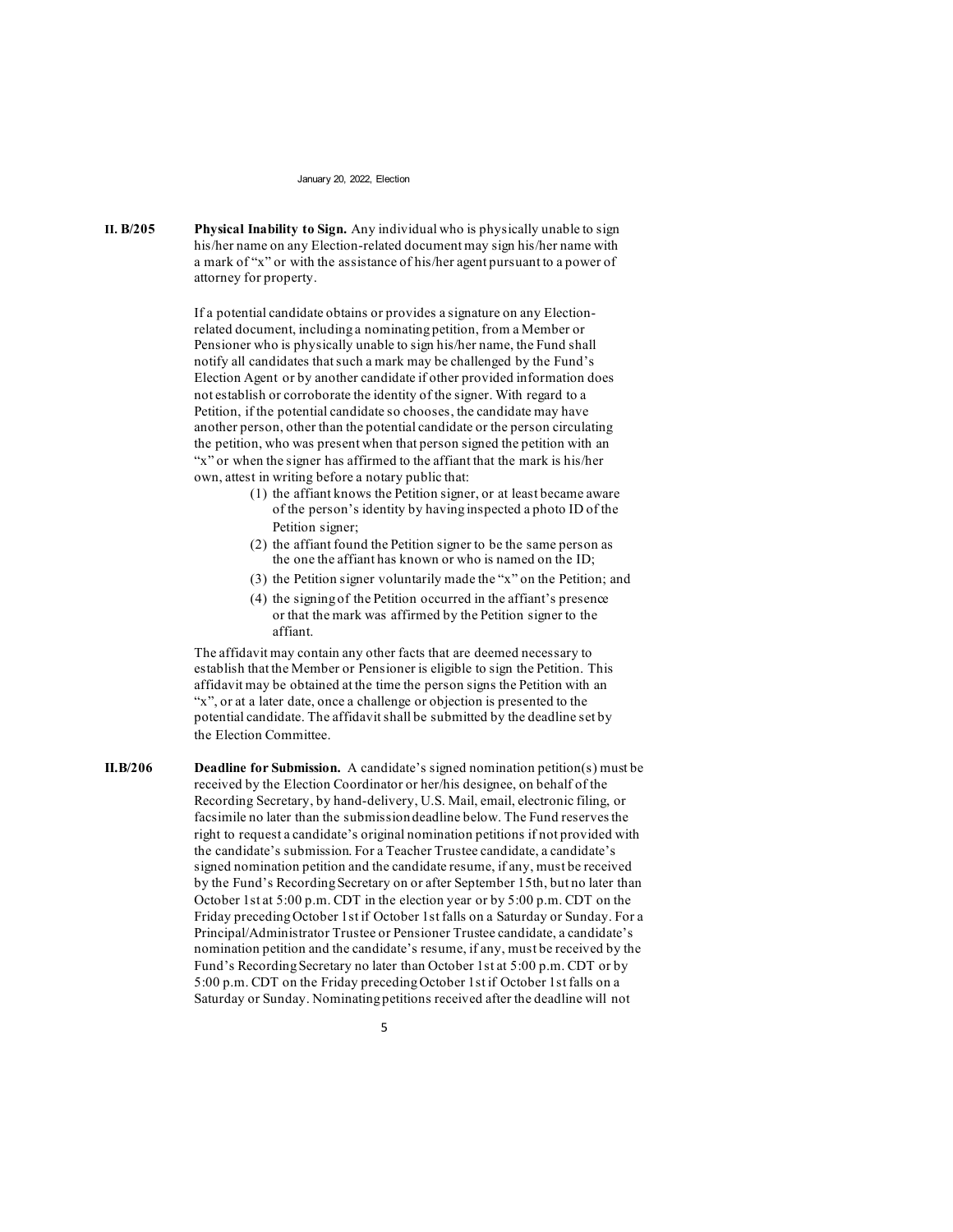**II. B/205 Physical Inability to Sign.** Any individual who is physically unable to sign his/her name on any Election-related document may sign his/her name with a mark of "x" or with the assistance of his/her agent pursuant to a power of attorney for property.

> If a potential candidate obtains or provides a signature on any Electionrelated document, including a nominating petition, from a Member or Pensioner who is physically unable to sign his/her name, the Fund shall notify all candidates that such a mark may be challenged by the Fund's Election Agent or by another candidate if other provided information does not establish or corroborate the identity of the signer. With regard to a Petition, if the potential candidate so chooses, the candidate may have another person, other than the potential candidate or the person circulating the petition, who was present when that person signed the petition with an "x" or when the signer has affirmed to the affiant that the mark is his/her own, attest in writing before a notary public that:

- (1) the affiant knows the Petition signer, or at least became aware of the person's identity by having inspected a photo ID of the Petition signer;
- (2) the affiant found the Petition signer to be the same person as the one the affiant has known or who is named on the ID;
- (3) the Petition signer voluntarily made the "x" on the Petition; and
- (4) the signing of the Petition occurred in the affiant's presence or that the mark was affirmed by the Petition signer to the affiant.

The affidavit may contain any other facts that are deemed necessary to establish that the Member or Pensioner is eligible to sign the Petition. This affidavit may be obtained at the time the person signs the Petition with an "x", or at a later date, once a challenge or objection is presented to the potential candidate. The affidavit shall be submitted by the deadline set by the Election Committee.

**II.B/206 Deadline for Submission.** A candidate's signed nomination petition(s) must be received by the Election Coordinator or her/his designee, on behalf of the Recording Secretary, by hand-delivery, U.S. Mail, email, electronic filing, or facsimile no later than the submission deadline below. The Fund reserves the right to request a candidate's original nomination petitions if not provided with the candidate's submission. For a Teacher Trustee candidate, a candidate's signed nomination petition and the candidate resume, if any, must be received by the Fund's Recording Secretary on or after September 15th, but no later than October 1st at 5:00 p.m. CDT in the election year or by 5:00 p.m. CDT on the Friday preceding October 1st if October 1st falls on a Saturday or Sunday. For a Principal/Administrator Trustee or Pensioner Trustee candidate, a candidate's nomination petition and the candidate's resume, if any, must be received by the Fund's Recording Secretary no later than October 1st at 5:00 p.m. CDT or by 5:00 p.m. CDT on the Friday preceding October 1st if October 1st falls on a Saturday or Sunday. Nominating petitions received after the deadline will not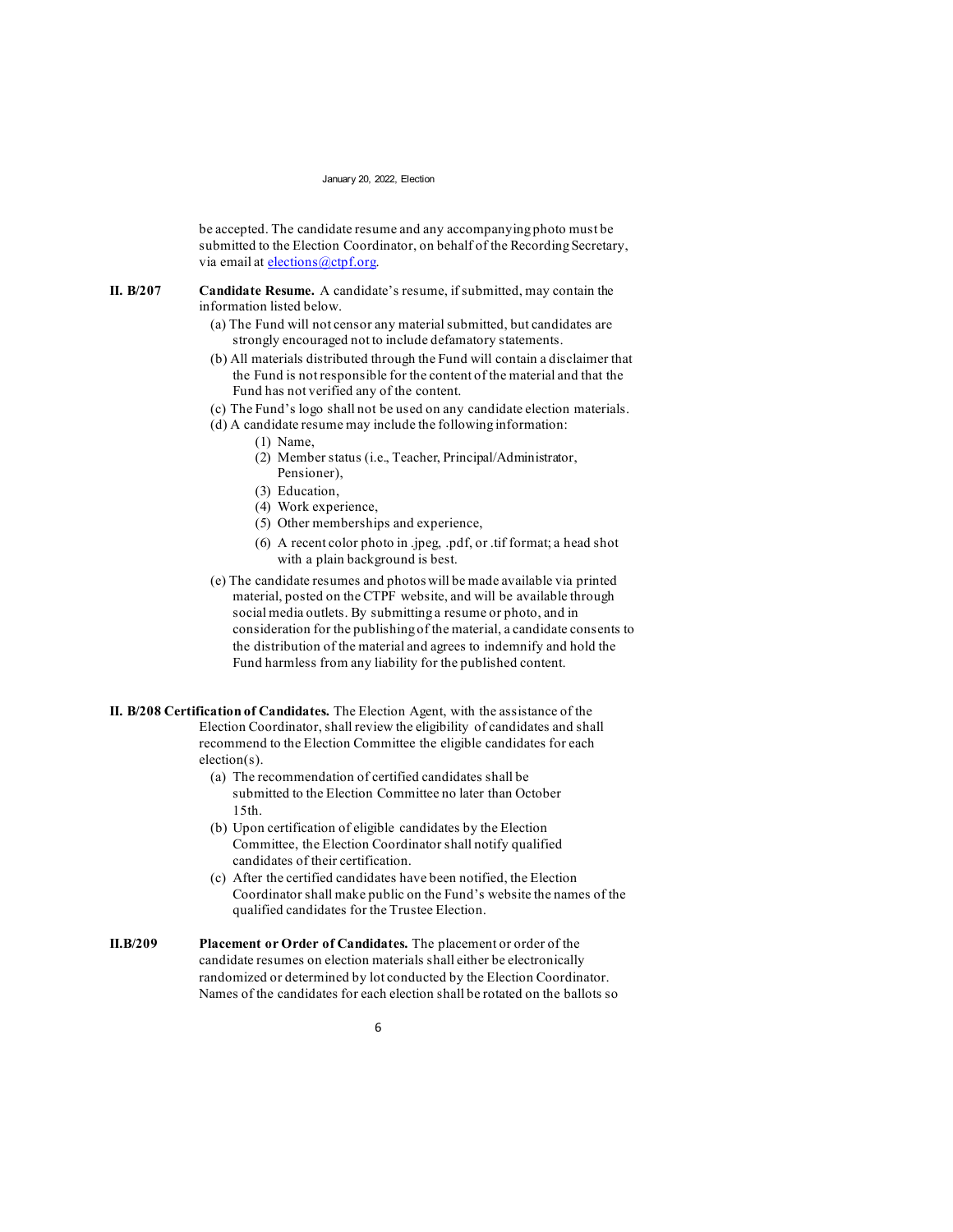be accepted. The candidate resume and any accompanying photo must be submitted to the Election Coordinator, on behalf of the Recording Secretary, via email at [elections@ctpf.org.](mailto:elections@ctpf.org)

**II. B/207 Candidate Resume.** A candidate's resume, if submitted, may contain the information listed below.

- (a) The Fund will not censor any material submitted, but candidates are strongly encouraged not to include defamatory statements.
- (b) All materials distributed through the Fund will contain a disclaimer that the Fund is not responsible for the content of the material and that the Fund has not verified any of the content.
- (c) The Fund's logo shall not be used on any candidate election materials.
- (d) A candidate resume may include the following information:
	- (1) Name,
	- (2) Member status (i.e., Teacher, Principal/Administrator, Pensioner),
	- (3) Education,
	- (4) Work experience,
	- (5) Other memberships and experience,
	- (6) A recent color photo in .jpeg, .pdf, or .tif format; a head shot with a plain background is best.
- (e) The candidate resumes and photos will be made available via printed material, posted on the CTPF website, and will be available through social media outlets. By submitting a resume or photo, and in consideration for the publishing of the material, a candidate consents to the distribution of the material and agrees to indemnify and hold the Fund harmless from any liability for the published content.

**II. B/208 Certification of Candidates.** The Election Agent, with the assistance of the Election Coordinator, shall review the eligibility of candidates and shall recommend to the Election Committee the eligible candidates for each election(s).

- (a) The recommendation of certified candidates shall be submitted to the Election Committee no later than October 15th.
- (b) Upon certification of eligible candidates by the Election Committee, the Election Coordinator shall notify qualified candidates of their certification.
- (c) After the certified candidates have been notified, the Election Coordinator shall make public on the Fund's website the names of the qualified candidates for the Trustee Election.
- **II.B/209 Placement or Order of Candidates.** The placement or order of the candidate resumes on election materials shall either be electronically randomized or determined by lot conducted by the Election Coordinator. Names of the candidates for each election shall be rotated on the ballots so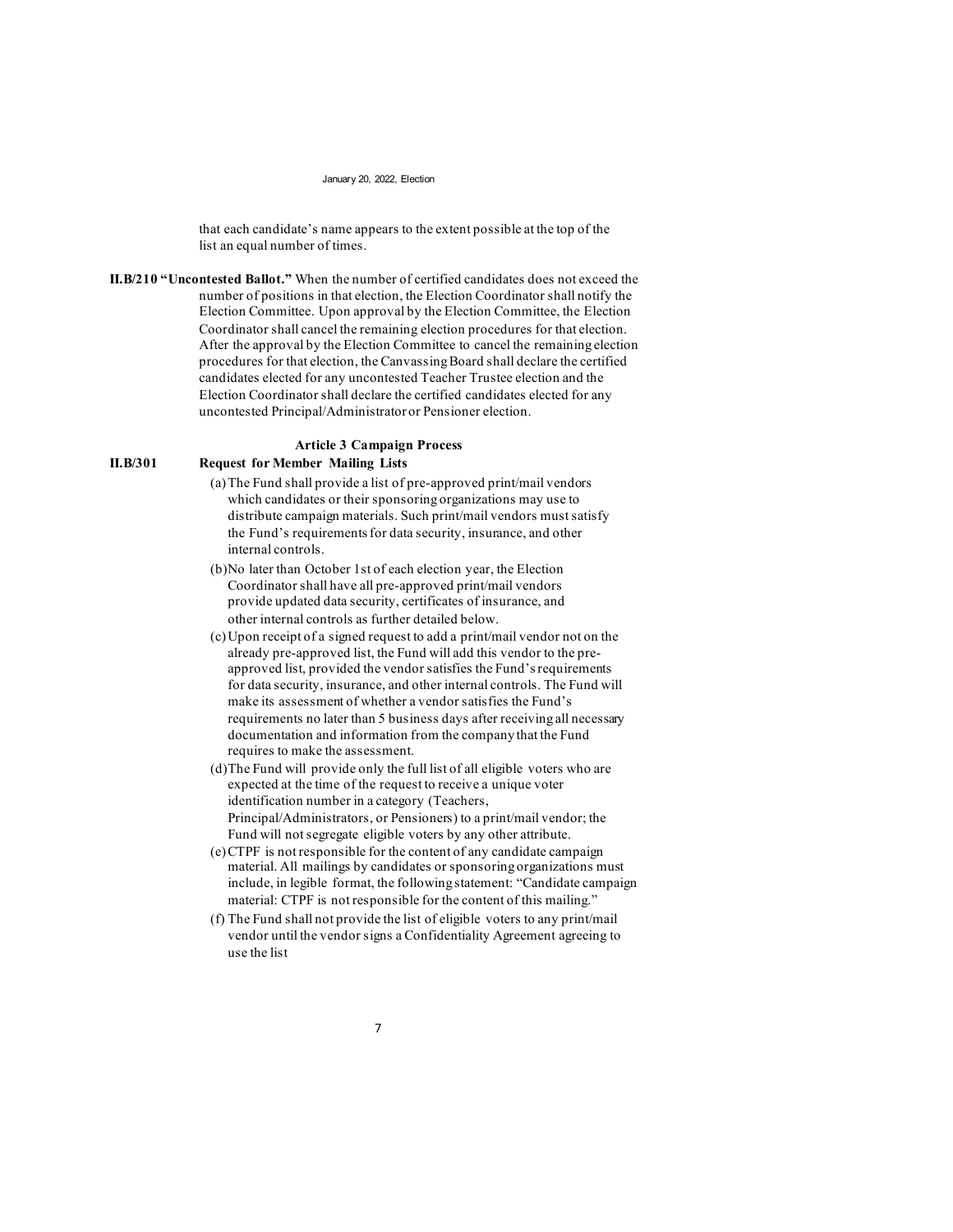that each candidate's name appears to the extent possible at the top of the list an equal number of times.

**II.B/210 "Uncontested Ballot."** When the number of certified candidates does not exceed the number of positions in that election, the Election Coordinator shall notify the Election Committee. Upon approval by the Election Committee, the Election Coordinator shall cancel the remaining election procedures for that election. After the approval by the Election Committee to cancel the remaining election procedures for that election, the Canvassing Board shall declare the certified candidates elected for any uncontested Teacher Trustee election and the Election Coordinator shall declare the certified candidates elected for any uncontested Principal/Administrator or Pensioner election.

# **Article 3 Campaign Process**

## **II.B/301 Request for Member Mailing Lists**

- (a)The Fund shall provide a list of pre-approved print/mail vendors which candidates or their sponsoring organizations may use to distribute campaign materials. Such print/mail vendors must satisfy the Fund's requirements for data security, insurance, and other internal controls.
- (b)No later than October 1st of each election year, the Election Coordinator shall have all pre-approved print/mail vendors provide updated data security, certificates of insurance, and other internal controls as further detailed below.
- (c)Upon receipt of a signed request to add a print/mail vendor not on the already pre-approved list, the Fund will add this vendor to the preapproved list, provided the vendor satisfies the Fund's requirements for data security, insurance, and other internal controls. The Fund will make its assessment of whether a vendor satisfies the Fund's requirements no later than 5 business days after receiving all necessary documentation and information from the company that the Fund requires to make the assessment.
- (d)The Fund will provide only the full list of all eligible voters who are expected at the time of the request to receive a unique voter identification number in a category (Teachers, Principal/Administrators, or Pensioners) to a print/mail vendor; the Fund will not segregate eligible voters by any other attribute.
- (e)CTPF is not responsible for the content of any candidate campaign material. All mailings by candidates or sponsoring organizations must include, in legible format, the following statement: "Candidate campaign material: CTPF is not responsible for the content of this mailing."
- (f) The Fund shall not provide the list of eligible voters to any print/mail vendor until the vendor signs a Confidentiality Agreement agreeing to use the list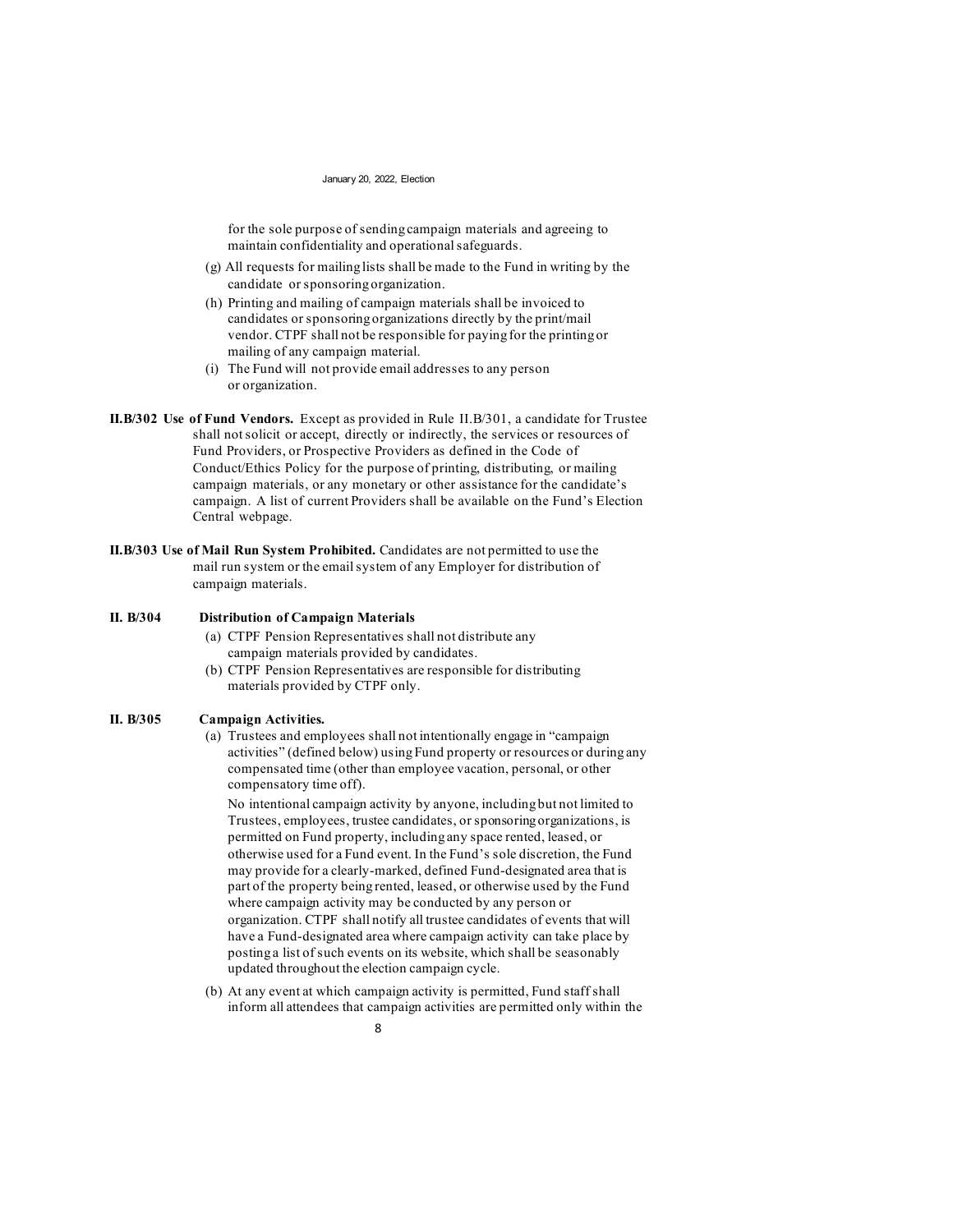for the sole purpose of sending campaign materials and agreeing to maintain confidentiality and operational safeguards.

- (g) All requests for mailing lists shall be made to the Fund in writing by the candidate or sponsoring organization.
- (h) Printing and mailing of campaign materials shall be invoiced to candidates or sponsoring organizations directly by the print/mail vendor. CTPF shall not be responsible for paying for the printing or mailing of any campaign material.
- (i) The Fund will not provide email addresses to any person or organization.
- **II.B/302 Use of Fund Vendors.** Except as provided in Rule II.B/301, a candidate for Trustee shall not solicit or accept, directly or indirectly, the services or resources of Fund Providers, or Prospective Providers as defined in the Code of Conduct/Ethics Policy for the purpose of printing, distributing, or mailing campaign materials, or any monetary or other assistance for the candidate's campaign. A list of current Providers shall be available on the Fund's Election Central webpage.
- **II.B/303 Use of Mail Run System Prohibited.** Candidates are not permitted to use the mail run system or the email system of any Employer for distribution of campaign materials.

# **II. B/304 Distribution of Campaign Materials**

- (a) CTPF Pension Representatives shall not distribute any campaign materials provided by candidates.
- (b) CTPF Pension Representatives are responsible for distributing materials provided by CTPF only.

# **II. B/305 Campaign Activities.**

(a) Trustees and employees shall not intentionally engage in "campaign activities" (defined below) using Fund property or resources or during any compensated time (other than employee vacation, personal, or other compensatory time off).

No intentional campaign activity by anyone, including but not limited to Trustees, employees, trustee candidates, or sponsoring organizations, is permitted on Fund property, including any space rented, leased, or otherwise used for a Fund event. In the Fund's sole discretion, the Fund may provide for a clearly-marked, defined Fund-designated area that is part of the property being rented, leased, or otherwise used by the Fund where campaign activity may be conducted by any person or organization. CTPF shall notify all trustee candidates of events that will have a Fund-designated area where campaign activity can take place by posting a list of such events on its website, which shall be seasonably updated throughout the election campaign cycle.

(b) At any event at which campaign activity is permitted, Fund staff shall inform all attendees that campaign activities are permitted only within the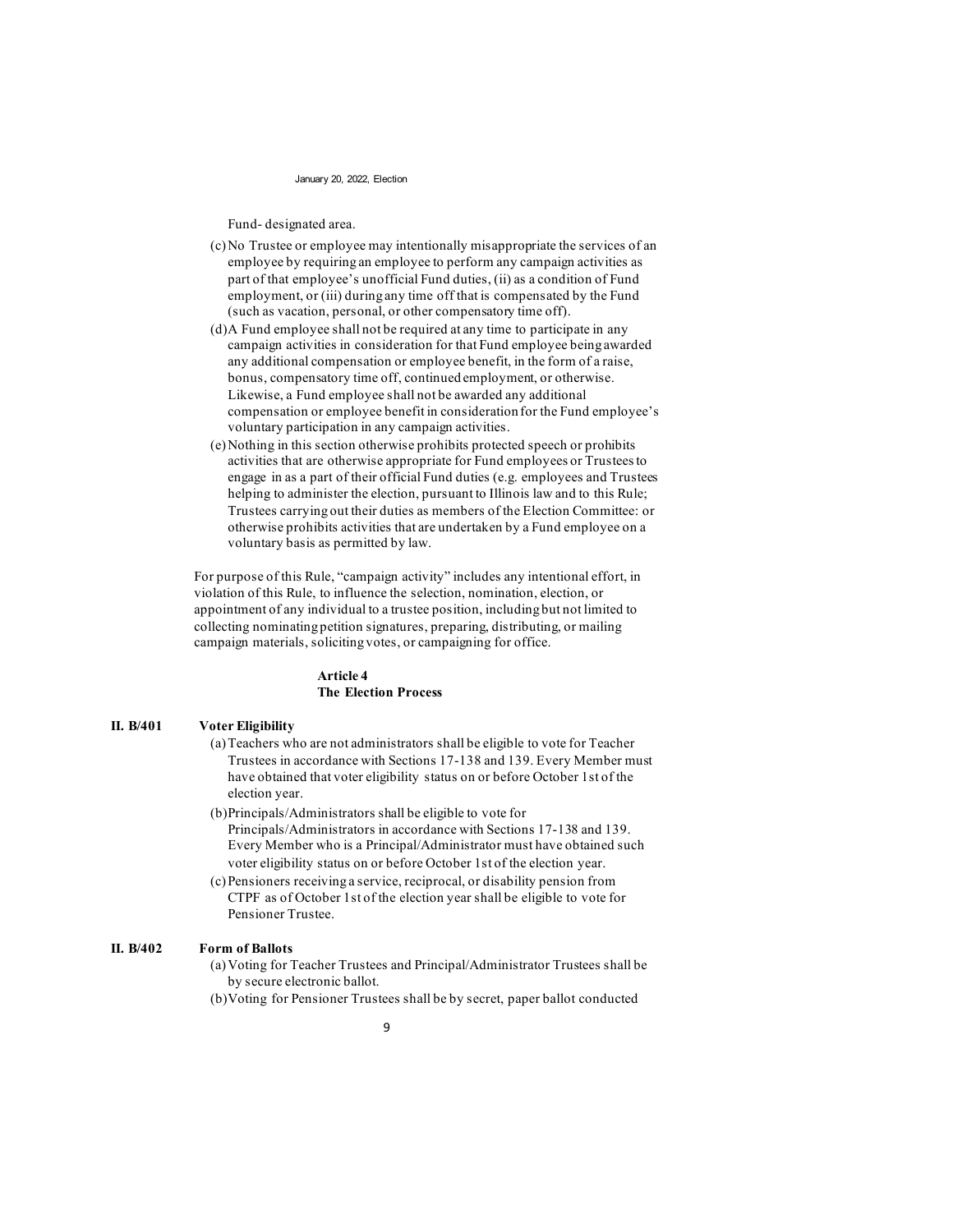Fund- designated area.

- (c)No Trustee or employee may intentionally misappropriate the services of an employee by requiring an employee to perform any campaign activities as part of that employee's unofficial Fund duties, (ii) as a condition of Fund employment, or (iii) during any time off that is compensated by the Fund (such as vacation, personal, or other compensatory time off).
- (d)A Fund employee shall not be required at any time to participate in any campaign activities in consideration for that Fund employee being awarded any additional compensation or employee benefit, in the form of a raise, bonus, compensatory time off, continued employment, or otherwise. Likewise, a Fund employee shall not be awarded any additional compensation or employee benefit in consideration for the Fund employee's voluntary participation in any campaign activities.
- (e)Nothing in this section otherwise prohibits protected speech or prohibits activities that are otherwise appropriate for Fund employees or Trustees to engage in as a part of their official Fund duties (e.g. employees and Trustees helping to administer the election, pursuant to Illinois law and to this Rule; Trustees carrying out their duties as members of the Election Committee: or otherwise prohibits activities that are undertaken by a Fund employee on a voluntary basis as permitted by law.

For purpose of this Rule, "campaign activity" includes any intentional effort, in violation of this Rule, to influence the selection, nomination, election, or appointment of any individual to a trustee position, including but not limited to collecting nominating petition signatures, preparing, distributing, or mailing campaign materials, soliciting votes, or campaigning for office.

### **Article 4 The Election Process**

## **II. B/401 Voter Eligibility**

- (a)Teachers who are not administrators shall be eligible to vote for Teacher Trustees in accordance with Sections 17-138 and 139. Every Member must have obtained that voter eligibility status on or before October 1st of the election year.
- (b)Principals/Administrators shall be eligible to vote for Principals/Administrators in accordance with Sections 17-138 and 139. Every Member who is a Principal/Administrator must have obtained such voter eligibility status on or before October 1st of the election year.
- (c)Pensioners receiving a service, reciprocal, or disability pension from CTPF as of October 1st of the election year shall be eligible to vote for Pensioner Trustee.

## **II. B/402 Form of Ballots**

- (a)Voting for Teacher Trustees and Principal/Administrator Trustees shall be by secure electronic ballot.
- (b)Voting for Pensioner Trustees shall be by secret, paper ballot conducted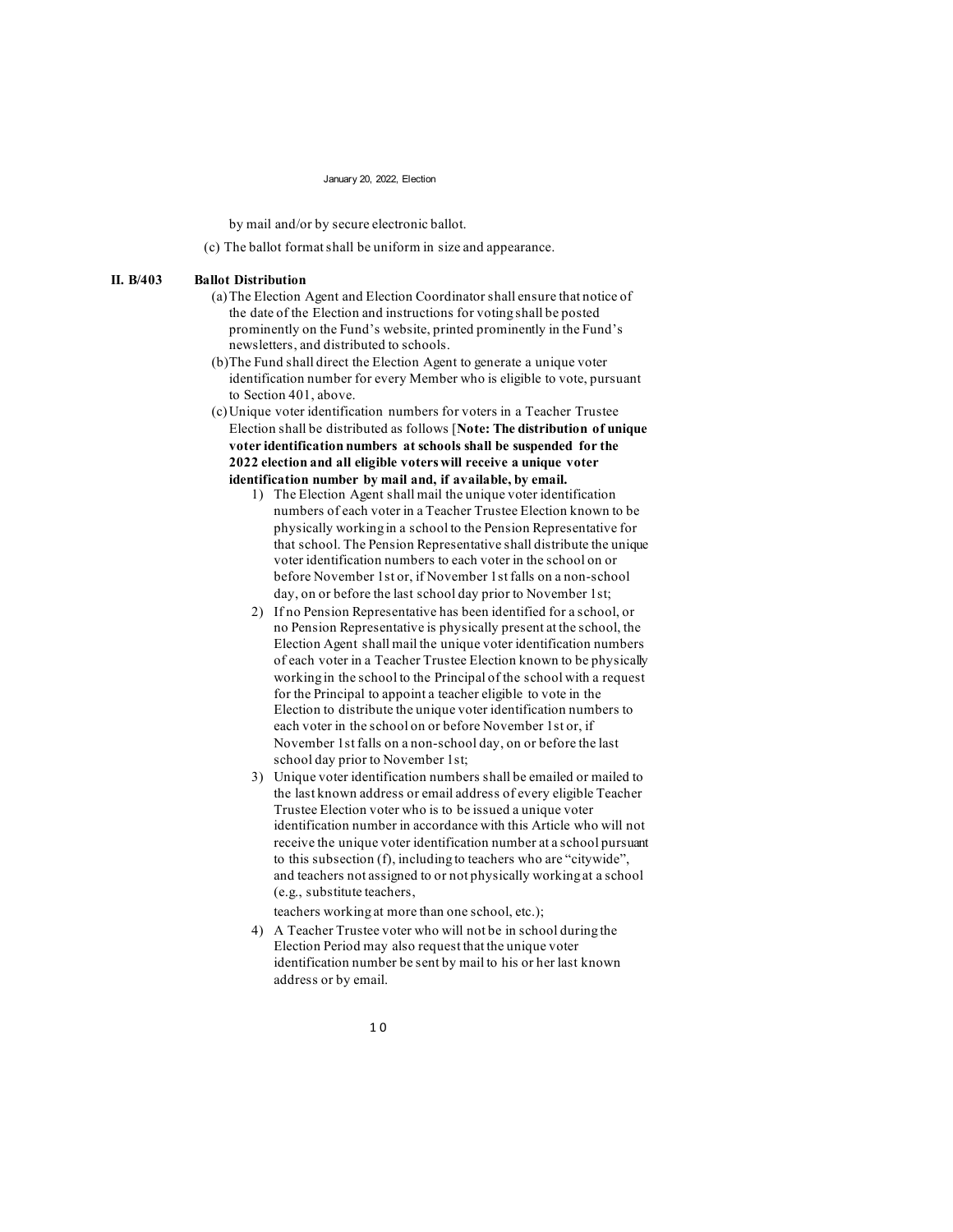by mail and/or by secure electronic ballot.

(c) The ballot format shall be uniform in size and appearance.

## **II. B/403 Ballot Distribution**

- (a)The Election Agent and Election Coordinator shall ensure that notice of the date of the Election and instructions for voting shall be posted prominently on the Fund's website, printed prominently in the Fund's newsletters, and distributed to schools.
- (b)The Fund shall direct the Election Agent to generate a unique voter identification number for every Member who is eligible to vote, pursuant to Section 401, above.
- (c)Unique voter identification numbers for voters in a Teacher Trustee Election shall be distributed as follows [**Note: The distribution of unique voter identification numbers at schools shall be suspended for the 2022 election and all eligible voters will receive a unique voter identification number by mail and, if available, by email.**
	- 1) The Election Agent shall mail the unique voter identification numbers of each voter in a Teacher Trustee Election known to be physically working in a school to the Pension Representative for that school. The Pension Representative shall distribute the unique voter identification numbers to each voter in the school on or before November 1st or, if November 1st falls on a non-school day, on or before the last school day prior to November 1st;
	- 2) If no Pension Representative has been identified for a school, or no Pension Representative is physically present at the school, the Election Agent shall mail the unique voter identification numbers of each voter in a Teacher Trustee Election known to be physically working in the school to the Principal of the school with a request for the Principal to appoint a teacher eligible to vote in the Election to distribute the unique voter identification numbers to each voter in the school on or before November 1st or, if November 1st falls on a non-school day, on or before the last school day prior to November 1st;
	- 3) Unique voter identification numbers shall be emailed or mailed to the last known address or email address of every eligible Teacher Trustee Election voter who is to be issued a unique voter identification number in accordance with this Article who will not receive the unique voter identification number at a school pursuant to this subsection (f), including to teachers who are "citywide", and teachers not assigned to or not physically working at a school (e.g., substitute teachers,

teachers working at more than one school, etc.);

4) A Teacher Trustee voter who will not be in school during the Election Period may also request that the unique voter identification number be sent by mail to his or her last known address or by email.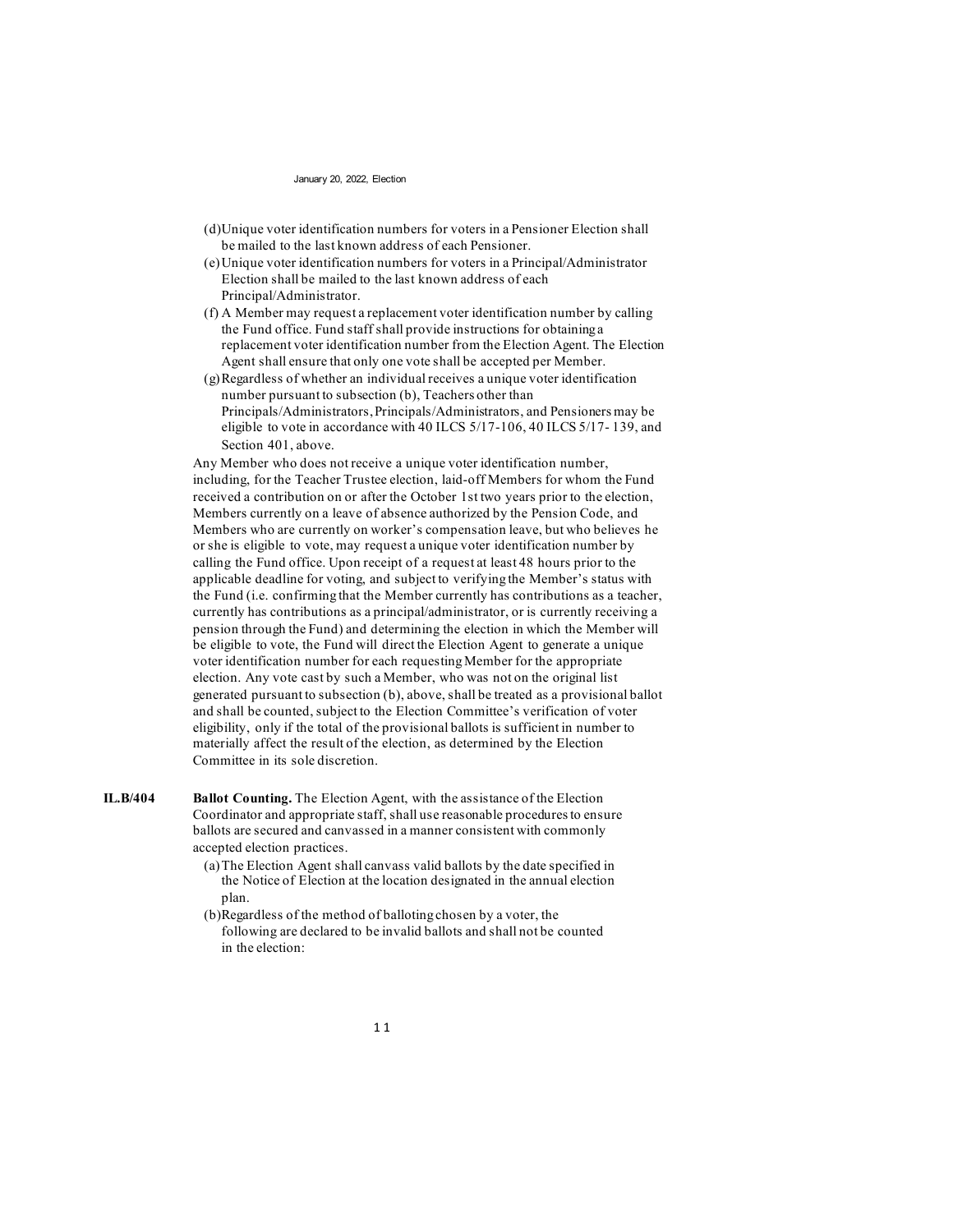- (d)Unique voter identification numbers for voters in a Pensioner Election shall be mailed to the last known address of each Pensioner.
- (e)Unique voter identification numbers for voters in a Principal/Administrator Election shall be mailed to the last known address of each Principal/Administrator.
- (f) A Member may request a replacement voter identification number by calling the Fund office. Fund staff shall provide instructions for obtaining a replacement voter identification number from the Election Agent. The Election Agent shall ensure that only one vote shall be accepted per Member.
- (g)Regardless of whether an individual receives a unique voter identification number pursuant to subsection (b), Teachers other than Principals/Administrators, Principals/Administrators, and Pensioners may be eligible to vote in accordance with 40 ILCS 5/17-106, 40 ILCS 5/17- 139, and Section 401, above.

Any Member who does not receive a unique voter identification number, including, for the Teacher Trustee election, laid-off Members for whom the Fund received a contribution on or after the October 1st two years prior to the election, Members currently on a leave of absence authorized by the Pension Code, and Members who are currently on worker's compensation leave, but who believes he or she is eligible to vote, may request a unique voter identification number by calling the Fund office. Upon receipt of a request at least 48 hours prior to the applicable deadline for voting, and subject to verifying the Member's status with the Fund (i.e. confirming that the Member currently has contributions as a teacher, currently has contributions as a principal/administrator, or is currently receiving a pension through the Fund) and determining the election in which the Member will be eligible to vote, the Fund will direct the Election Agent to generate a unique voter identification number for each requesting Member for the appropriate election. Any vote cast by such a Member, who was not on the original list generated pursuant to subsection (b), above, shall be treated as a provisional ballot and shall be counted, subject to the Election Committee's verification of voter eligibility, only if the total of the provisional ballots is sufficient in number to materially affect the result of the election, as determined by the Election Committee in its sole discretion.

**IL.B/404 Ballot Counting.** The Election Agent, with the assistance of the Election Coordinator and appropriate staff, shall use reasonable procedures to ensure ballots are secured and canvassed in a manner consistent with commonly accepted election practices.

- (a)The Election Agent shall canvass valid ballots by the date specified in the Notice of Election at the location designated in the annual election plan.
- (b)Regardless of the method of balloting chosen by a voter, the following are declared to be invalid ballots and shall not be counted in the election: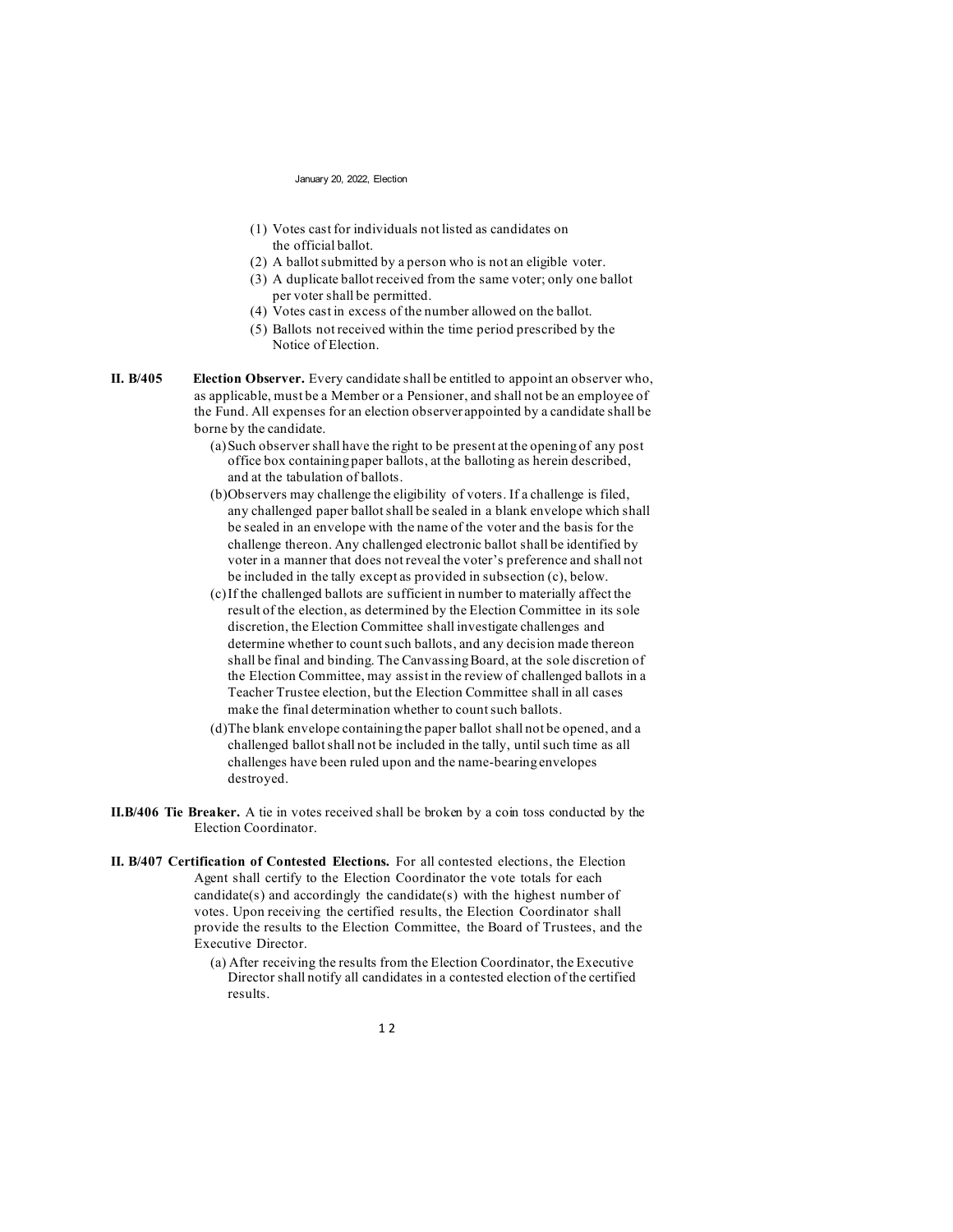- (1) Votes cast for individuals not listed as candidates on the official ballot.
- (2) A ballot submitted by a person who is not an eligible voter.
- (3) A duplicate ballot received from the same voter; only one ballot per voter shall be permitted.
- (4) Votes cast in excess of the number allowed on the ballot.
- (5) Ballots not received within the time period prescribed by the Notice of Election.
- **II. B/405 Election Observer.** Every candidate shall be entitled to appoint an observer who, as applicable, must be a Member or a Pensioner, and shall not be an employee of the Fund. All expenses for an election observer appointed by a candidate shall be borne by the candidate.
	- (a)Such observer shall have the right to be present at the opening of any post office box containing paper ballots, at the balloting as herein described, and at the tabulation of ballots.
	- (b)Observers may challenge the eligibility of voters. If a challenge is filed, any challenged paper ballot shall be sealed in a blank envelope which shall be sealed in an envelope with the name of the voter and the basis for the challenge thereon. Any challenged electronic ballot shall be identified by voter in a manner that does not reveal the voter's preference and shall not be included in the tally except as provided in subsection (c), below.
	- (c)If the challenged ballots are sufficient in number to materially affect the result of the election, as determined by the Election Committee in its sole discretion, the Election Committee shall investigate challenges and determine whether to count such ballots, and any decision made thereon shall be final and binding. The Canvassing Board, at the sole discretion of the Election Committee, may assist in the review of challenged ballots in a Teacher Trustee election, but the Election Committee shall in all cases make the final determination whether to count such ballots.
	- (d)The blank envelope containing the paper ballot shall not be opened, and a challenged ballot shall not be included in the tally, until such time as all challenges have been ruled upon and the name-bearing envelopes destroyed.
- **II.B/406 Tie Breaker.** A tie in votes received shall be broken by a coin toss conducted by the Election Coordinator.
- **II. B/407 Certification of Contested Elections.** For all contested elections, the Election Agent shall certify to the Election Coordinator the vote totals for each candidate(s) and accordingly the candidate(s) with the highest number of votes. Upon receiving the certified results, the Election Coordinator shall provide the results to the Election Committee, the Board of Trustees, and the Executive Director.
	- (a) After receiving the results from the Election Coordinator, the Executive Director shall notify all candidates in a contested election of the certified results.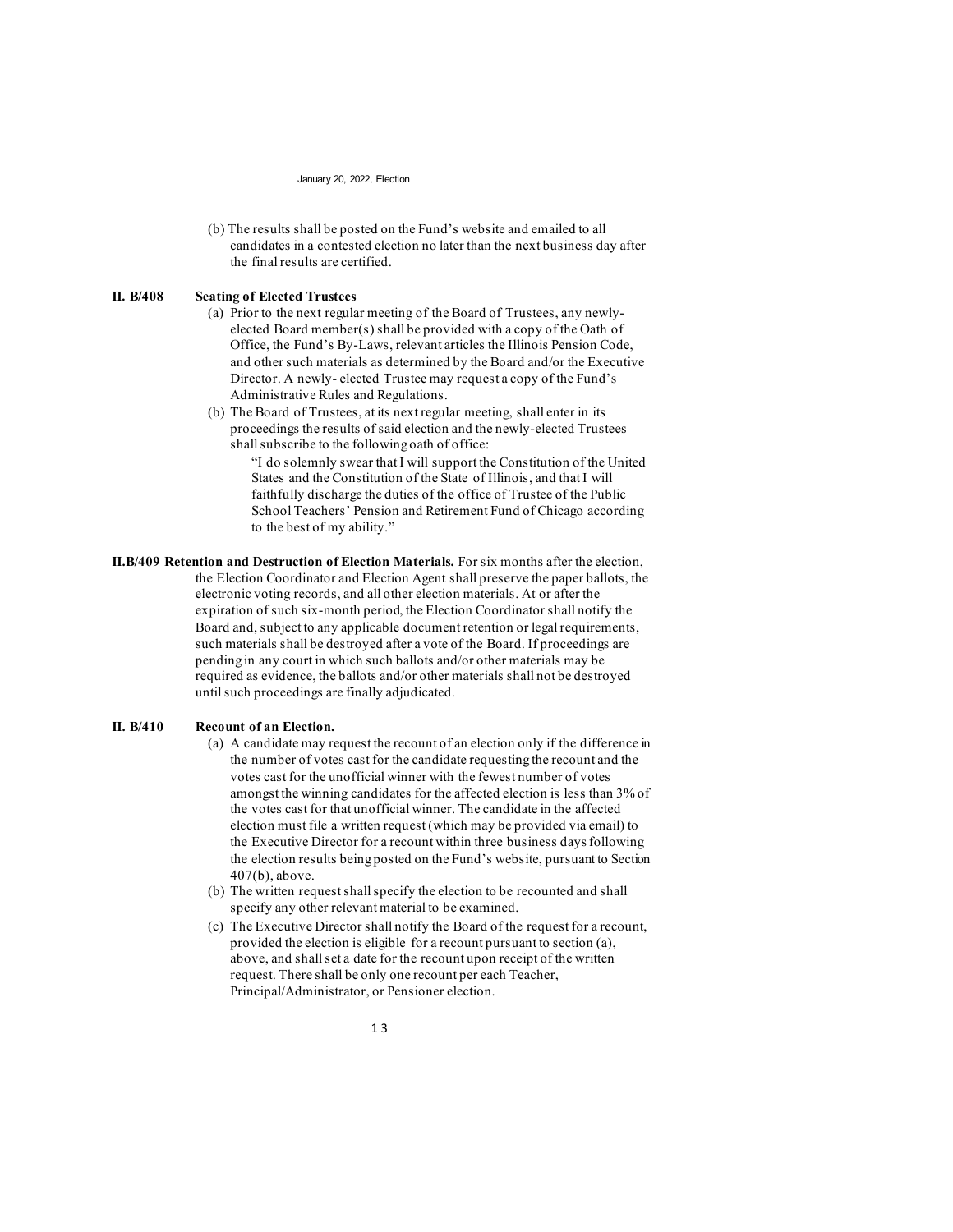(b) The results shall be posted on the Fund's website and emailed to all candidates in a contested election no later than the next business day after the final results are certified.

### **II. B/408 Seating of Elected Trustees**

- (a) Prior to the next regular meeting of the Board of Trustees, any newlyelected Board member(s) shall be provided with a copy of the Oath of Office, the Fund's By-Laws, relevant articles the Illinois Pension Code, and other such materials as determined by the Board and/or the Executive Director. A newly- elected Trustee may request a copy of the Fund's Administrative Rules and Regulations.
- (b) The Board of Trustees, at its next regular meeting, shall enter in its proceedings the results of said election and the newly-elected Trustees shall subscribe to the following oath of office:

"I do solemnly swear that I will support the Constitution of the United States and the Constitution of the State of Illinois, and that I will faithfully discharge the duties of the office of Trustee of the Public School Teachers' Pension and Retirement Fund of Chicago according to the best of my ability."

**II.B/409 Retention and Destruction of Election Materials.** For six months after the election, the Election Coordinator and Election Agent shall preserve the paper ballots, the electronic voting records, and all other election materials. At or after the expiration of such six-month period, the Election Coordinator shall notify the Board and, subject to any applicable document retention or legal requirements, such materials shall be destroyed after a vote of the Board. If proceedings are pending in any court in which such ballots and/or other materials may be required as evidence, the ballots and/or other materials shall not be destroyed until such proceedings are finally adjudicated.

## **II. B/410 Recount of an Election.**

- (a) A candidate may request the recount of an election only if the difference in the number of votes cast for the candidate requesting the recount and the votes cast for the unofficial winner with the fewest number of votes amongst the winning candidates for the affected election is less than 3% of the votes cast for that unofficial winner. The candidate in the affected election must file a written request (which may be provided via email) to the Executive Director for a recount within three business days following the election results being posted on the Fund's website, pursuant to Section 407(b), above.
- (b) The written request shall specify the election to be recounted and shall specify any other relevant material to be examined.
- (c) The Executive Director shall notify the Board of the request for a recount, provided the election is eligible for a recount pursuant to section (a), above, and shall set a date for the recount upon receipt of the written request. There shall be only one recount per each Teacher, Principal/Administrator, or Pensioner election.